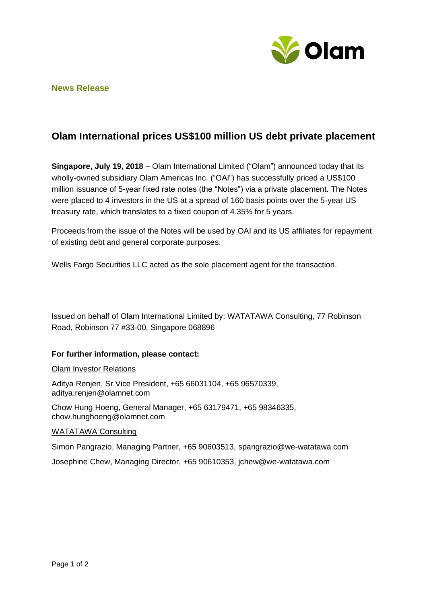

# **Olam International prices US\$100 million US debt private placement**

**Singapore, July 19, 2018** – Olam International Limited ("Olam") announced today that its wholly-owned subsidiary Olam Americas Inc. ("OAI") has successfully priced a US\$100 million issuance of 5-year fixed rate notes (the "Notes") via a private placement. The Notes were placed to 4 investors in the US at a spread of 160 basis points over the 5-year US treasury rate, which translates to a fixed coupon of 4.35% for 5 years.

Proceeds from the issue of the Notes will be used by OAI and its US affiliates for repayment of existing debt and general corporate purposes.

Wells Fargo Securities LLC acted as the sole placement agent for the transaction.

Issued on behalf of Olam International Limited by: WATATAWA Consulting, 77 Robinson Road, Robinson 77 #33-00, Singapore 068896

## **For further information, please contact:**

## Olam Investor Relations

Aditya Renjen, Sr Vice President, +65 66031104, +65 96570339, aditya.renjen@olamnet.com

Chow Hung Hoeng, General Manager, +65 63179471, +65 98346335, chow.hunghoeng@olamnet.com

## WATATAWA Consulting

Simon Pangrazio, Managing Partner, +65 90603513, spangrazio@we-watatawa.com

Josephine Chew, Managing Director, +65 90610353, jchew@we-watatawa.com